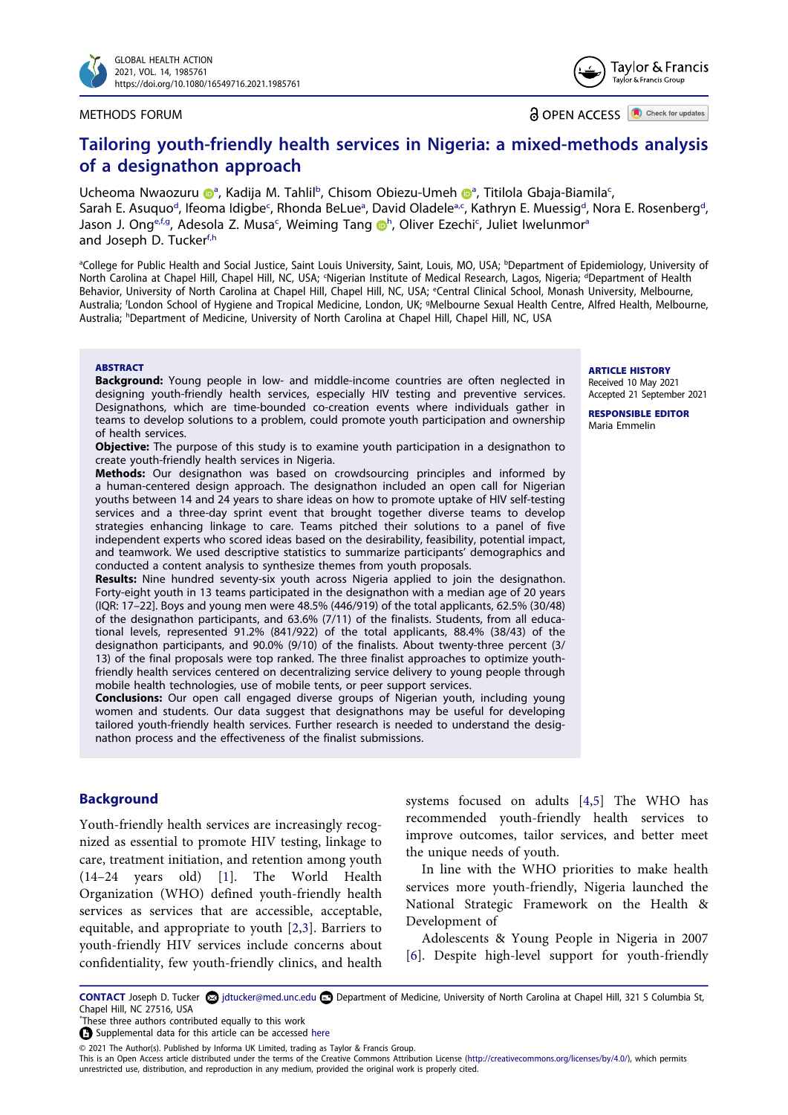

#### METHODS FORUM

**a** OPEN ACCESS **a** Check for updates

# **Tailoring youth-friendly health services in Nigeria: a mixed-methods analysis of a designathon approach**

Ucheom[a](#page-0-0) Nwaozuru D<sup>a</sup>, Kadija M. Tahlil<sup>[b](#page-0-0)</sup>, Chisom Obiezu-Umeh D<sup>a</sup>, Titilola Gbaja-Biamila<sup>c</sup>, Sarah E. Asuquo<sup>d</sup>, Ifeoma Idigbe<sup>c</sup>, Rhonda BeLue<sup>a</sup>, David Oladele<sup>a,c</sup>, Kathryn E. Muessig<sup>d</sup>, Nora E. Rosenberg<sup>d</sup>, Jason J. Ong<sup>[e](#page-0-2),f,g</sup>, Adesola Z. Musa<sup>[c](#page-0-1)</sup>, Weimin[g](http://orcid.org/0000-0002-9026-707X) Tang **in**, Oliver Ezec[h](#page-0-4)i<sup>c</sup>, Juliet Iwelunmor<sup>a</sup> and Joseph D. Tucker<sup>[f](#page-0-3)[,h](#page-0-4)</sup>

<span id="page-0-4"></span><span id="page-0-3"></span><span id="page-0-2"></span><span id="page-0-1"></span><span id="page-0-0"></span><sup>a</sup>College for Public Health and Social Justice, Saint Louis University, Saint, Louis, MO, USA; <sup>b</sup>Department of Epidemiology, University of North Carolina at Chapel Hill, Chapel Hill, NC, USA; <sup>c</sup>Nigerian Institute of Medical Research, Lagos, Nigeria; <sup>d</sup>Department of Health Behavior, University of North Carolina at Chapel Hill, Chapel Hill, NC, USA; <sup>e</sup>Central Clinical School, Monash University, Melbourne, Australia; <sup>f</sup>London School of Hygiene and Tropical Medicine, London, UK; <sup>9</sup>Melbourne Sexual Health Centre, Alfred Health, Melbourne, Australia; h Department of Medicine, University of North Carolina at Chapel Hill, Chapel Hill, NC, USA

#### **ABSTRACT**

**Background:** Young people in low- and middle-income countries are often neglected in designing youth-friendly health services, especially HIV testing and preventive services. Designathons, which are time-bounded co-creation events where individuals gather in teams to develop solutions to a problem, could promote youth participation and ownership of health services.

**Objective:** The purpose of this study is to examine youth participation in a designathon to create youth-friendly health services in Nigeria.

**Methods:** Our designathon was based on crowdsourcing principles and informed by a human-centered design approach. The designathon included an open call for Nigerian youths between 14 and 24 years to share ideas on how to promote uptake of HIV self-testing services and a three-day sprint event that brought together diverse teams to develop strategies enhancing linkage to care. Teams pitched their solutions to a panel of five independent experts who scored ideas based on the desirability, feasibility, potential impact, and teamwork. We used descriptive statistics to summarize participants' demographics and conducted a content analysis to synthesize themes from youth proposals.

**Results:** Nine hundred seventy-six youth across Nigeria applied to join the designathon. Forty-eight youth in 13 teams participated in the designathon with a median age of 20 years (IQR: 17–22]. Boys and young men were 48.5% (446/919) of the total applicants, 62.5% (30/48) of the designathon participants, and 63.6% (7/11) of the finalists. Students, from all educational levels, represented 91.2% (841/922) of the total applicants, 88.4% (38/43) of the designathon participants, and 90.0% (9/10) of the finalists. About twenty-three percent (3/ 13) of the final proposals were top ranked. The three finalist approaches to optimize youthfriendly health services centered on decentralizing service delivery to young people through mobile health technologies, use of mobile tents, or peer support services.

**Conclusions:** Our open call engaged diverse groups of Nigerian youth, including young women and students. Our data suggest that designathons may be useful for developing tailored youth-friendly health services. Further research is needed to understand the designathon process and the effectiveness of the finalist submissions.

# **Background**

<span id="page-0-5"></span>Youth-friendly health services are increasingly recognized as essential to promote HIV testing, linkage to care, treatment initiation, and retention among youth (14–24 years old) [\[1](#page-7-0)]. The World Health Organization (WHO) defined youth-friendly health services as services that are accessible, acceptable, equitable, and appropriate to youth [[2](#page-7-1)[,3](#page-7-2)]. Barriers to youth-friendly HIV services include concerns about confidentiality, few youth-friendly clinics, and health

<span id="page-0-7"></span>systems focused on adults [[4,](#page-7-3)[5](#page-7-4)] The WHO has recommended youth-friendly health services to improve outcomes, tailor services, and better meet the unique needs of youth.

In line with the WHO priorities to make health services more youth-friendly, Nigeria launched the National Strategic Framework on the Health & Development of

<span id="page-0-8"></span>Adolescents & Young People in Nigeria in 2007 [\[6](#page-7-5)]. Despite high-level support for youth-friendly

<span id="page-0-6"></span>CONTACT Joseph D. Tucker **۞** jdtucker@med.unc.edu **■** Department of Medicine, University of North Carolina at Chapel Hill, 321 S Columbia St, Chapel Hill, NC 27516, USA<br>"These three authors contributed equally to this work

This is an Open Access article distributed under the terms of the Creative Commons Attribution License (http://creativecommons.org/licenses/by/4.0/), which permits unrestricted use, distribution, and reproduction in any medium, provided the original work is properly cited.

**ARTICLE HISTORY** Received 10 May 2021 Accepted 21 September 2021

**RESPONSIBLE EDITOR**  Maria Emmelin



 $\Omega$  Supplemental data for this article can be accessed [here](https://doi.org/10.1080/16549716.2021.1985761)

<sup>© 2021</sup> The Author(s). Published by Informa UK Limited, trading as Taylor & Francis Group.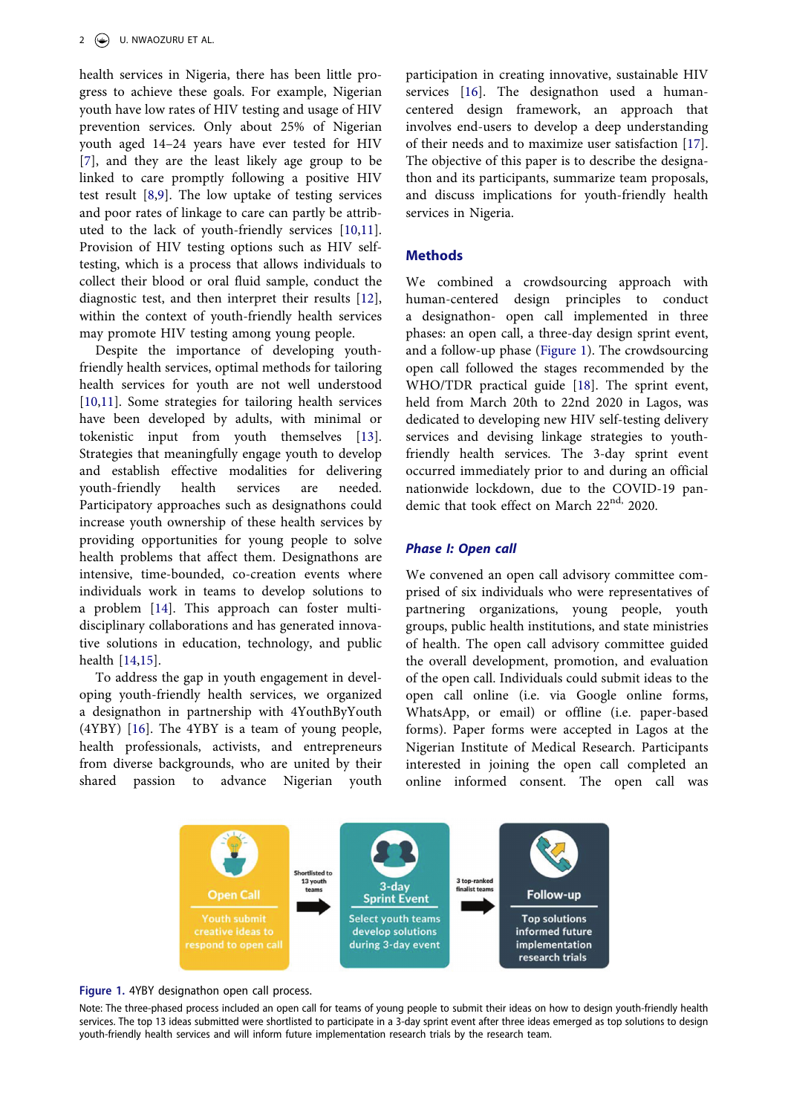<span id="page-1-2"></span><span id="page-1-1"></span>health services in Nigeria, there has been little progress to achieve these goals. For example, Nigerian youth have low rates of HIV testing and usage of HIV prevention services. Only about 25% of Nigerian youth aged 14–24 years have ever tested for HIV [[7\]](#page-7-6), and they are the least likely age group to be linked to care promptly following a positive HIV test result [[8,](#page-7-7)[9](#page-7-8)]. The low uptake of testing services and poor rates of linkage to care can partly be attributed to the lack of youth-friendly services [\[10](#page-7-9),[11\]](#page-7-10). Provision of HIV testing options such as HIV selftesting, which is a process that allows individuals to collect their blood or oral fluid sample, conduct the diagnostic test, and then interpret their results [[12\]](#page-7-11), within the context of youth-friendly health services may promote HIV testing among young people.

<span id="page-1-5"></span><span id="page-1-4"></span><span id="page-1-3"></span>Despite the importance of developing youthfriendly health services, optimal methods for tailoring health services for youth are not well understood [[10,](#page-7-9)[11](#page-7-10)]. Some strategies for tailoring health services have been developed by adults, with minimal or tokenistic input from youth themselves [[13\]](#page-7-12). Strategies that meaningfully engage youth to develop and establish effective modalities for delivering youth-friendly health services are needed. Participatory approaches such as designathons could increase youth ownership of these health services by providing opportunities for young people to solve health problems that affect them. Designathons are intensive, time-bounded, co-creation events where individuals work in teams to develop solutions to a problem [[14\]](#page-7-13). This approach can foster multidisciplinary collaborations and has generated innovative solutions in education, technology, and public health [\[14](#page-7-13),[15\]](#page-7-14).

<span id="page-1-6"></span>To address the gap in youth engagement in developing youth-friendly health services, we organized a designathon in partnership with 4YouthByYouth (4YBY) [[16\]](#page-7-15). The 4YBY is a team of young people, health professionals, activists, and entrepreneurs from diverse backgrounds, who are united by their shared passion to advance Nigerian youth <span id="page-1-8"></span><span id="page-1-7"></span>participation in creating innovative, sustainable HIV services [\[16](#page-7-15)]. The designathon used a humancentered design framework, an approach that involves end-users to develop a deep understanding of their needs and to maximize user satisfaction [\[17](#page-7-16)]. The objective of this paper is to describe the designathon and its participants, summarize team proposals, and discuss implications for youth-friendly health services in Nigeria.

## **Methods**

<span id="page-1-9"></span>We combined a crowdsourcing approach with human-centered design principles to conduct a designathon- open call implemented in three phases: an open call, a three-day design sprint event, and a follow-up phase [\(Figure 1\)](#page-1-0). The crowdsourcing open call followed the stages recommended by the WHO/TDR practical guide [\[18](#page-7-17)]. The sprint event, held from March 20th to 22nd 2020 in Lagos, was dedicated to developing new HIV self-testing delivery services and devising linkage strategies to youthfriendly health services. The 3-day sprint event occurred immediately prior to and during an official nationwide lockdown, due to the COVID-19 pandemic that took effect on March 22<sup>nd,</sup> 2020.

#### *Phase I: Open call*

We convened an open call advisory committee comprised of six individuals who were representatives of partnering organizations, young people, youth groups, public health institutions, and state ministries of health. The open call advisory committee guided the overall development, promotion, and evaluation of the open call. Individuals could submit ideas to the open call online (i.e. via Google online forms, WhatsApp, or email) or offline (i.e. paper-based forms). Paper forms were accepted in Lagos at the Nigerian Institute of Medical Research. Participants interested in joining the open call completed an online informed consent. The open call was



<span id="page-1-0"></span>**Figure 1.** 4YBY designathon open call process.

Note: The three-phased process included an open call for teams of young people to submit their ideas on how to design youth-friendly health services. The top 13 ideas submitted were shortlisted to participate in a 3-day sprint event after three ideas emerged as top solutions to design youth-friendly health services and will inform future implementation research trials by the research team.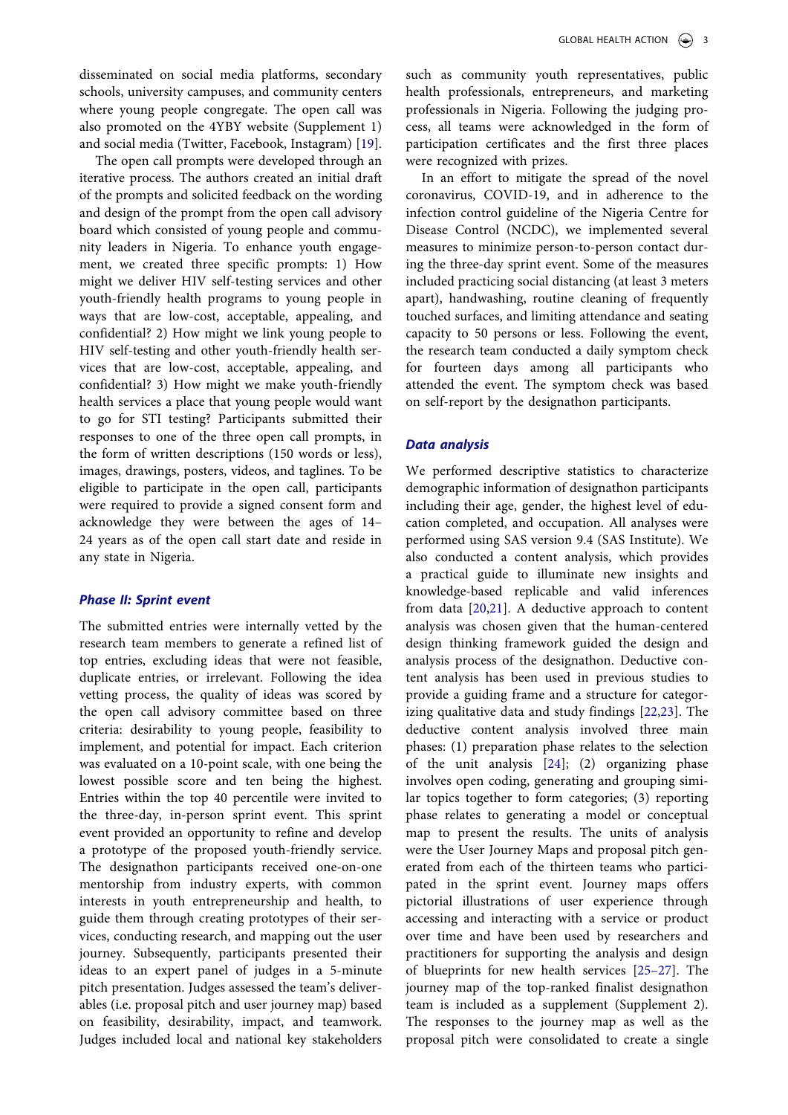disseminated on social media platforms, secondary schools, university campuses, and community centers where young people congregate. The open call was also promoted on the 4YBY website (Supplement 1) and social media (Twitter, Facebook, Instagram) [[19\]](#page-7-18).

<span id="page-2-0"></span>The open call prompts were developed through an iterative process. The authors created an initial draft of the prompts and solicited feedback on the wording and design of the prompt from the open call advisory board which consisted of young people and community leaders in Nigeria. To enhance youth engagement, we created three specific prompts: 1) How might we deliver HIV self-testing services and other youth-friendly health programs to young people in ways that are low-cost, acceptable, appealing, and confidential? 2) How might we link young people to HIV self-testing and other youth-friendly health services that are low-cost, acceptable, appealing, and confidential? 3) How might we make youth-friendly health services a place that young people would want to go for STI testing? Participants submitted their responses to one of the three open call prompts, in the form of written descriptions (150 words or less), images, drawings, posters, videos, and taglines. To be eligible to participate in the open call, participants were required to provide a signed consent form and acknowledge they were between the ages of 14– 24 years as of the open call start date and reside in any state in Nigeria.

#### *Phase II: Sprint event*

<span id="page-2-4"></span>The submitted entries were internally vetted by the research team members to generate a refined list of top entries, excluding ideas that were not feasible, duplicate entries, or irrelevant. Following the idea vetting process, the quality of ideas was scored by the open call advisory committee based on three criteria: desirability to young people, feasibility to implement, and potential for impact. Each criterion was evaluated on a 10-point scale, with one being the lowest possible score and ten being the highest. Entries within the top 40 percentile were invited to the three-day, in-person sprint event. This sprint event provided an opportunity to refine and develop a prototype of the proposed youth-friendly service. The designathon participants received one-on-one mentorship from industry experts, with common interests in youth entrepreneurship and health, to guide them through creating prototypes of their services, conducting research, and mapping out the user journey. Subsequently, participants presented their ideas to an expert panel of judges in a 5-minute pitch presentation. Judges assessed the team's deliverables (i.e. proposal pitch and user journey map) based on feasibility, desirability, impact, and teamwork. Judges included local and national key stakeholders

such as community youth representatives, public health professionals, entrepreneurs, and marketing professionals in Nigeria. Following the judging process, all teams were acknowledged in the form of participation certificates and the first three places were recognized with prizes.

In an effort to mitigate the spread of the novel coronavirus, COVID-19, and in adherence to the infection control guideline of the Nigeria Centre for Disease Control (NCDC), we implemented several measures to minimize person-to-person contact during the three-day sprint event. Some of the measures included practicing social distancing (at least 3 meters apart), handwashing, routine cleaning of frequently touched surfaces, and limiting attendance and seating capacity to 50 persons or less. Following the event, the research team conducted a daily symptom check for fourteen days among all participants who attended the event. The symptom check was based on self-report by the designathon participants.

#### *Data analysis*

<span id="page-2-3"></span><span id="page-2-2"></span><span id="page-2-1"></span>We performed descriptive statistics to characterize demographic information of designathon participants including their age, gender, the highest level of education completed, and occupation. All analyses were performed using SAS version 9.4 (SAS Institute). We also conducted a content analysis, which provides a practical guide to illuminate new insights and knowledge-based replicable and valid inferences from data [[20,](#page-7-19)[21](#page-7-20)]. A deductive approach to content analysis was chosen given that the human-centered design thinking framework guided the design and analysis process of the designathon. Deductive content analysis has been used in previous studies to provide a guiding frame and a structure for categorizing qualitative data and study findings [[22](#page-7-21)[,23](#page-7-22)]. The deductive content analysis involved three main phases: (1) preparation phase relates to the selection of the unit analysis [[24\]](#page-7-23); (2) organizing phase involves open coding, generating and grouping similar topics together to form categories; (3) reporting phase relates to generating a model or conceptual map to present the results. The units of analysis were the User Journey Maps and proposal pitch generated from each of the thirteen teams who participated in the sprint event. Journey maps offers pictorial illustrations of user experience through accessing and interacting with a service or product over time and have been used by researchers and practitioners for supporting the analysis and design of blueprints for new health services [[25–27](#page-8-0)]. The journey map of the top-ranked finalist designathon team is included as a supplement (Supplement 2). The responses to the journey map as well as the proposal pitch were consolidated to create a single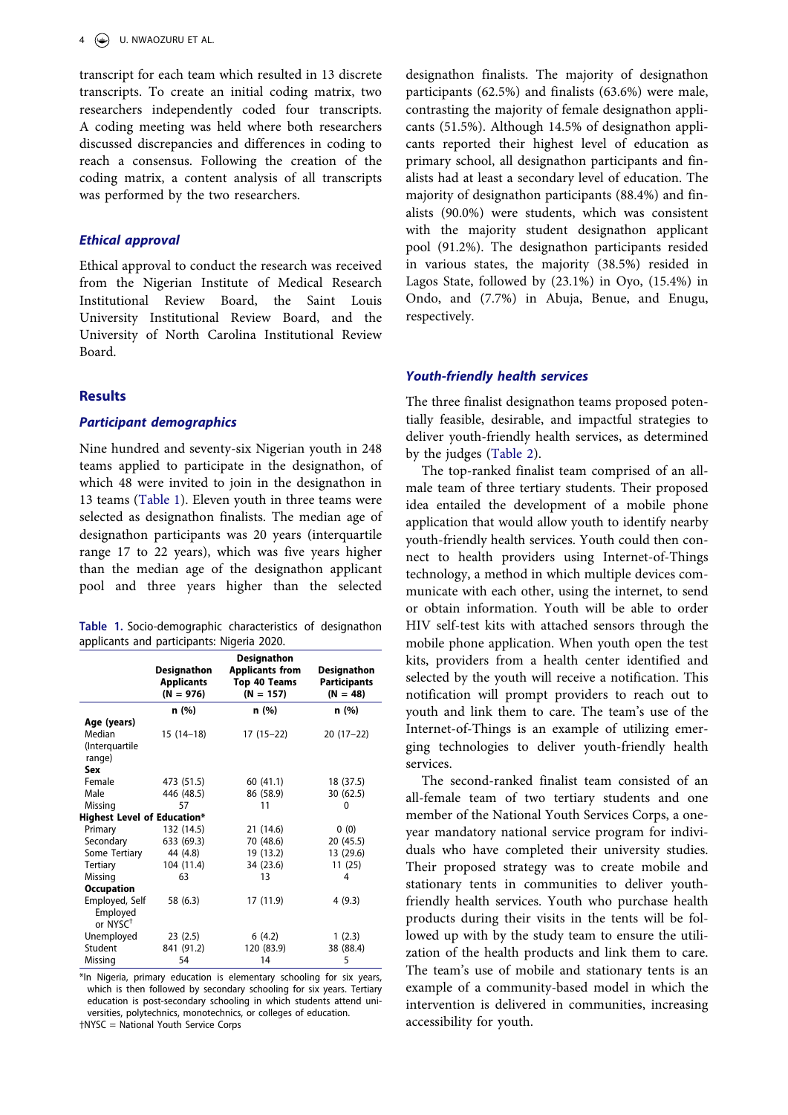transcript for each team which resulted in 13 discrete transcripts. To create an initial coding matrix, two researchers independently coded four transcripts. A coding meeting was held where both researchers discussed discrepancies and differences in coding to reach a consensus. Following the creation of the coding matrix, a content analysis of all transcripts was performed by the two researchers.

## *Ethical approval*

Ethical approval to conduct the research was received from the Nigerian Institute of Medical Research Institutional Review Board, the Saint Louis University Institutional Review Board, and the University of North Carolina Institutional Review Board.

## **Results**

#### *Participant demographics*

Nine hundred and seventy-six Nigerian youth in 248 teams applied to participate in the designathon, of which 48 were invited to join in the designathon in 13 teams ([Table 1](#page-3-0)). Eleven youth in three teams were selected as designathon finalists. The median age of designathon participants was 20 years (interquartile range 17 to 22 years), which was five years higher than the median age of the designathon applicant pool and three years higher than the selected

<span id="page-3-0"></span>

| Table 1. Socio-demographic characteristics of designathon |  |  |
|-----------------------------------------------------------|--|--|
| applicants and participants: Nigeria 2020.                |  |  |

|                                                    | <b>Designathon</b><br><b>Applicants</b><br>$(N = 976)$ | <b>Designathon</b><br><b>Applicants from</b><br>Top 40 Teams<br>$(N = 157)$ | Designathon<br><b>Participants</b><br>$(N = 48)$ |  |
|----------------------------------------------------|--------------------------------------------------------|-----------------------------------------------------------------------------|--------------------------------------------------|--|
|                                                    | n (%)                                                  | n (%)                                                                       | n (%)                                            |  |
| Age (years)                                        |                                                        |                                                                             |                                                  |  |
| Median                                             | $15(14-18)$                                            | $17(15-22)$                                                                 | $20(17-22)$                                      |  |
| (Interquartile                                     |                                                        |                                                                             |                                                  |  |
| range)                                             |                                                        |                                                                             |                                                  |  |
| Sex                                                |                                                        |                                                                             |                                                  |  |
| Female                                             | 473 (51.5)                                             | 60(41.1)                                                                    | 18 (37.5)                                        |  |
| Male                                               | 446 (48.5)                                             | 86 (58.9)                                                                   | 30 (62.5)                                        |  |
| Missing                                            | 57                                                     | 11                                                                          | 0                                                |  |
| <b>Highest Level of Education*</b>                 |                                                        |                                                                             |                                                  |  |
| Primary                                            | 132 (14.5)                                             | 21 (14.6)                                                                   | 0(0)                                             |  |
| Secondary                                          | 633 (69.3)                                             | 70 (48.6)                                                                   | 20 (45.5)                                        |  |
| Some Tertiary                                      | 44 (4.8)                                               | 19 (13.2)                                                                   | 13 (29.6)                                        |  |
| Tertiary                                           | 104 (11.4)                                             | 34 (23.6)                                                                   | 11(25)                                           |  |
| Missing                                            | 63                                                     | 13                                                                          | 4                                                |  |
| <b>Occupation</b>                                  |                                                        |                                                                             |                                                  |  |
| Employed, Self<br>Employed<br>or NYSC <sup>+</sup> | 58 (6.3)                                               | 17 (11.9)                                                                   | 4(9.3)                                           |  |
| Unemployed                                         | 23(2.5)                                                | 6(4.2)                                                                      | 1(2.3)                                           |  |
| Student                                            | 841 (91.2)                                             | 120 (83.9)                                                                  | 38 (88.4)                                        |  |
| Missing                                            | 54                                                     | 14                                                                          | 5                                                |  |

\*In Nigeria, primary education is elementary schooling for six years, which is then followed by secondary schooling for six years. Tertiary education is post-secondary schooling in which students attend universities, polytechnics, monotechnics, or colleges of education. †NYSC = National Youth Service Corps

designathon finalists. The majority of designathon participants (62.5%) and finalists (63.6%) were male, contrasting the majority of female designathon applicants (51.5%). Although 14.5% of designathon applicants reported their highest level of education as primary school, all designathon participants and finalists had at least a secondary level of education. The majority of designathon participants (88.4%) and finalists (90.0%) were students, which was consistent with the majority student designathon applicant pool (91.2%). The designathon participants resided in various states, the majority (38.5%) resided in Lagos State, followed by (23.1%) in Oyo, (15.4%) in Ondo, and (7.7%) in Abuja, Benue, and Enugu, respectively.

#### *Youth-friendly health services*

The three finalist designathon teams proposed potentially feasible, desirable, and impactful strategies to deliver youth-friendly health services, as determined by the judges [\(Table 2](#page-4-0)).

The top-ranked finalist team comprised of an allmale team of three tertiary students. Their proposed idea entailed the development of a mobile phone application that would allow youth to identify nearby youth-friendly health services. Youth could then connect to health providers using Internet-of-Things technology, a method in which multiple devices communicate with each other, using the internet, to send or obtain information. Youth will be able to order HIV self-test kits with attached sensors through the mobile phone application. When youth open the test kits, providers from a health center identified and selected by the youth will receive a notification. This notification will prompt providers to reach out to youth and link them to care. The team's use of the Internet-of-Things is an example of utilizing emerging technologies to deliver youth-friendly health services.

The second-ranked finalist team consisted of an all-female team of two tertiary students and one member of the National Youth Services Corps, a oneyear mandatory national service program for individuals who have completed their university studies. Their proposed strategy was to create mobile and stationary tents in communities to deliver youthfriendly health services. Youth who purchase health products during their visits in the tents will be followed up with by the study team to ensure the utilization of the health products and link them to care. The team's use of mobile and stationary tents is an example of a community-based model in which the intervention is delivered in communities, increasing accessibility for youth.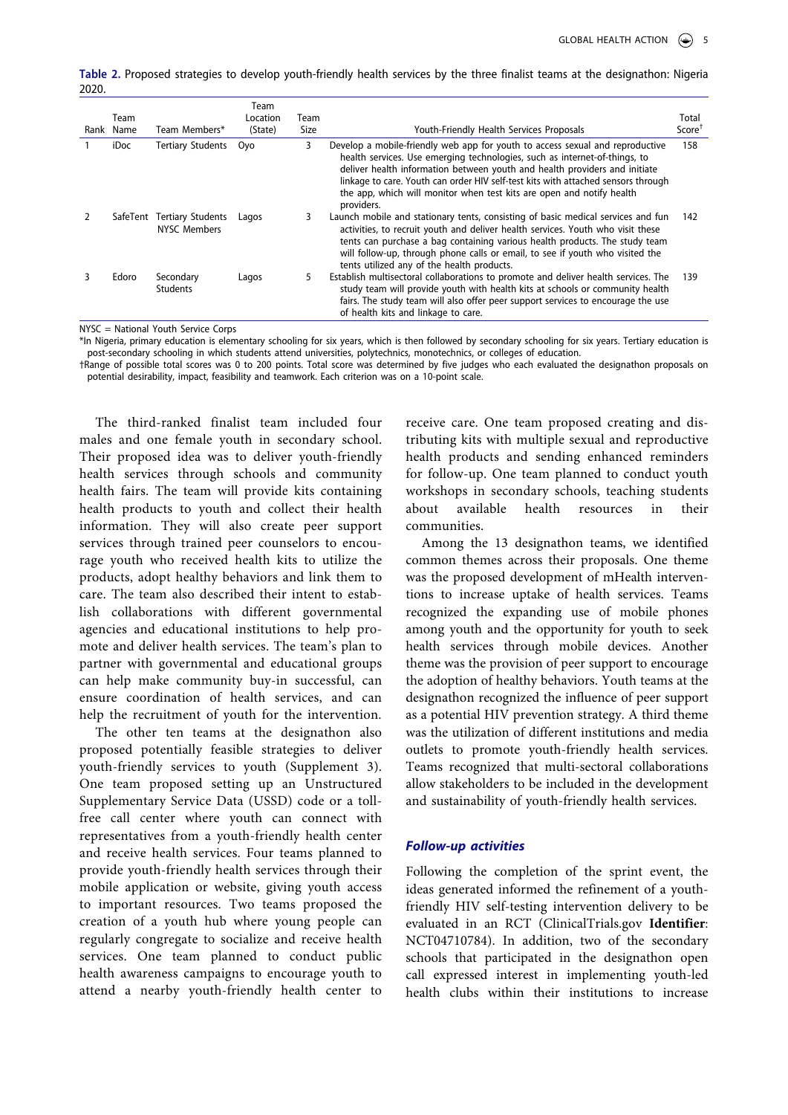<span id="page-4-0"></span>**Table 2.** Proposed strategies to develop youth-friendly health services by the three finalist teams at the designathon: Nigeria 2020.

| Team<br>Rank Name | Team Members*                              | Team<br>Location<br>(State) | Team<br>Size | Youth-Friendly Health Services Proposals                                                                                                                                                                                                                                                                                                                                                                              | Total<br>Score <sup>T</sup> |
|-------------------|--------------------------------------------|-----------------------------|--------------|-----------------------------------------------------------------------------------------------------------------------------------------------------------------------------------------------------------------------------------------------------------------------------------------------------------------------------------------------------------------------------------------------------------------------|-----------------------------|
| iDoc              | <b>Tertiary Students</b>                   | Ovo                         | 3            | Develop a mobile-friendly web app for youth to access sexual and reproductive<br>health services. Use emerging technologies, such as internet-of-things, to<br>deliver health information between youth and health providers and initiate<br>linkage to care. Youth can order HIV self-test kits with attached sensors through<br>the app, which will monitor when test kits are open and notify health<br>providers. | 158                         |
|                   | SafeTent Tertiary Students<br>NYSC Members | Lagos                       | 3            | Launch mobile and stationary tents, consisting of basic medical services and fun<br>activities, to recruit youth and deliver health services. Youth who visit these<br>tents can purchase a bag containing various health products. The study team<br>will follow-up, through phone calls or email, to see if youth who visited the<br>tents utilized any of the health products.                                     | 142                         |
| Edoro             | Secondary<br><b>Students</b>               | Lagos                       | 5            | Establish multisectoral collaborations to promote and deliver health services. The<br>study team will provide youth with health kits at schools or community health<br>fairs. The study team will also offer peer support services to encourage the use<br>of health kits and linkage to care.                                                                                                                        | 139                         |

NYSC = National Youth Service Corps

\*In Nigeria, primary education is elementary schooling for six years, which is then followed by secondary schooling for six years. Tertiary education is post-secondary schooling in which students attend universities, polytechnics, monotechnics, or colleges of education.

†Range of possible total scores was 0 to 200 points. Total score was determined by five judges who each evaluated the designathon proposals on potential desirability, impact, feasibility and teamwork. Each criterion was on a 10-point scale.

The third-ranked finalist team included four males and one female youth in secondary school. Their proposed idea was to deliver youth-friendly health services through schools and community health fairs. The team will provide kits containing health products to youth and collect their health information. They will also create peer support services through trained peer counselors to encourage youth who received health kits to utilize the products, adopt healthy behaviors and link them to care. The team also described their intent to establish collaborations with different governmental agencies and educational institutions to help promote and deliver health services. The team's plan to partner with governmental and educational groups can help make community buy-in successful, can ensure coordination of health services, and can help the recruitment of youth for the intervention.

The other ten teams at the designathon also proposed potentially feasible strategies to deliver youth-friendly services to youth (Supplement 3). One team proposed setting up an Unstructured Supplementary Service Data (USSD) code or a tollfree call center where youth can connect with representatives from a youth-friendly health center and receive health services. Four teams planned to provide youth-friendly health services through their mobile application or website, giving youth access to important resources. Two teams proposed the creation of a youth hub where young people can regularly congregate to socialize and receive health services. One team planned to conduct public health awareness campaigns to encourage youth to attend a nearby youth-friendly health center to receive care. One team proposed creating and distributing kits with multiple sexual and reproductive health products and sending enhanced reminders for follow-up. One team planned to conduct youth workshops in secondary schools, teaching students about available health resources in their communities.

Among the 13 designathon teams, we identified common themes across their proposals. One theme was the proposed development of mHealth interventions to increase uptake of health services. Teams recognized the expanding use of mobile phones among youth and the opportunity for youth to seek health services through mobile devices. Another theme was the provision of peer support to encourage the adoption of healthy behaviors. Youth teams at the designathon recognized the influence of peer support as a potential HIV prevention strategy. A third theme was the utilization of different institutions and media outlets to promote youth-friendly health services. Teams recognized that multi-sectoral collaborations allow stakeholders to be included in the development and sustainability of youth-friendly health services.

#### *Follow-up activities*

Following the completion of the sprint event, the ideas generated informed the refinement of a youthfriendly HIV self-testing intervention delivery to be evaluated in an RCT (ClinicalTrials.gov **Identifier**: NCT04710784). In addition, two of the secondary schools that participated in the designathon open call expressed interest in implementing youth-led health clubs within their institutions to increase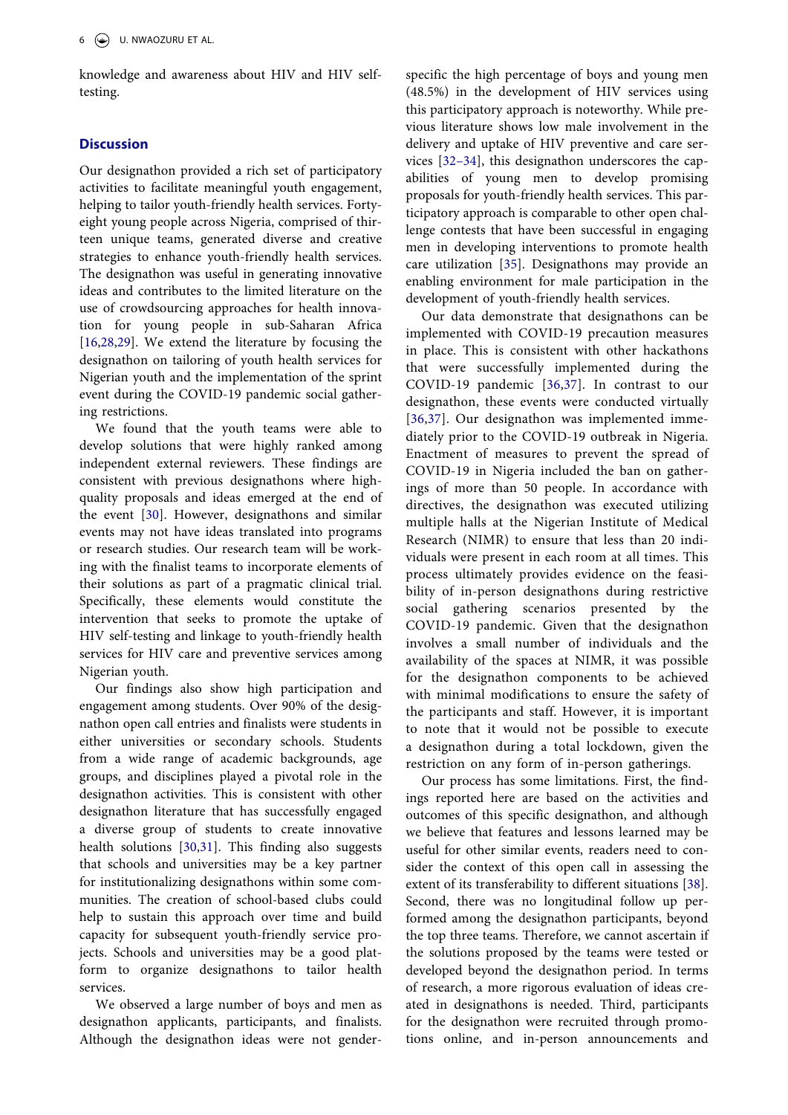knowledge and awareness about HIV and HIV selftesting.

## **Discussion**

Our designathon provided a rich set of participatory activities to facilitate meaningful youth engagement, helping to tailor youth-friendly health services. Fortyeight young people across Nigeria, comprised of thirteen unique teams, generated diverse and creative strategies to enhance youth-friendly health services. The designathon was useful in generating innovative ideas and contributes to the limited literature on the use of crowdsourcing approaches for health innovation for young people in sub-Saharan Africa [[16,](#page-7-15)[28](#page-8-1),[29\]](#page-8-2). We extend the literature by focusing the designathon on tailoring of youth health services for Nigerian youth and the implementation of the sprint event during the COVID-19 pandemic social gathering restrictions.

<span id="page-5-0"></span>We found that the youth teams were able to develop solutions that were highly ranked among independent external reviewers. These findings are consistent with previous designathons where highquality proposals and ideas emerged at the end of the event [\[30](#page-8-3)]. However, designathons and similar events may not have ideas translated into programs or research studies. Our research team will be working with the finalist teams to incorporate elements of their solutions as part of a pragmatic clinical trial. Specifically, these elements would constitute the intervention that seeks to promote the uptake of HIV self-testing and linkage to youth-friendly health services for HIV care and preventive services among Nigerian youth.

<span id="page-5-1"></span>Our findings also show high participation and engagement among students. Over 90% of the designathon open call entries and finalists were students in either universities or secondary schools. Students from a wide range of academic backgrounds, age groups, and disciplines played a pivotal role in the designathon activities. This is consistent with other designathon literature that has successfully engaged a diverse group of students to create innovative health solutions [[30,](#page-8-3)[31](#page-8-4)]. This finding also suggests that schools and universities may be a key partner for institutionalizing designathons within some communities. The creation of school-based clubs could help to sustain this approach over time and build capacity for subsequent youth-friendly service projects. Schools and universities may be a good platform to organize designathons to tailor health services.

We observed a large number of boys and men as designathon applicants, participants, and finalists. Although the designathon ideas were not gender-

<span id="page-5-2"></span>specific the high percentage of boys and young men (48.5%) in the development of HIV services using this participatory approach is noteworthy. While previous literature shows low male involvement in the delivery and uptake of HIV preventive and care services [[32–34](#page-8-5)], this designathon underscores the capabilities of young men to develop promising proposals for youth-friendly health services. This participatory approach is comparable to other open challenge contests that have been successful in engaging men in developing interventions to promote health care utilization [[35\]](#page-8-6). Designathons may provide an enabling environment for male participation in the development of youth-friendly health services.

<span id="page-5-4"></span><span id="page-5-3"></span>Our data demonstrate that designathons can be implemented with COVID-19 precaution measures in place. This is consistent with other hackathons that were successfully implemented during the COVID-19 pandemic [\[36](#page-8-7),[37](#page-8-8)]. In contrast to our designathon, these events were conducted virtually [\[36,](#page-8-7)[37](#page-8-8)]. Our designathon was implemented immediately prior to the COVID-19 outbreak in Nigeria. Enactment of measures to prevent the spread of COVID-19 in Nigeria included the ban on gatherings of more than 50 people. In accordance with directives, the designathon was executed utilizing multiple halls at the Nigerian Institute of Medical Research (NIMR) to ensure that less than 20 individuals were present in each room at all times. This process ultimately provides evidence on the feasibility of in-person designathons during restrictive social gathering scenarios presented by the COVID-19 pandemic. Given that the designathon involves a small number of individuals and the availability of the spaces at NIMR, it was possible for the designathon components to be achieved with minimal modifications to ensure the safety of the participants and staff. However, it is important to note that it would not be possible to execute a designathon during a total lockdown, given the restriction on any form of in-person gatherings.

<span id="page-5-5"></span>Our process has some limitations. First, the findings reported here are based on the activities and outcomes of this specific designathon, and although we believe that features and lessons learned may be useful for other similar events, readers need to consider the context of this open call in assessing the extent of its transferability to different situations [\[38](#page-8-9)]. Second, there was no longitudinal follow up performed among the designathon participants, beyond the top three teams. Therefore, we cannot ascertain if the solutions proposed by the teams were tested or developed beyond the designathon period. In terms of research, a more rigorous evaluation of ideas created in designathons is needed. Third, participants for the designathon were recruited through promotions online, and in-person announcements and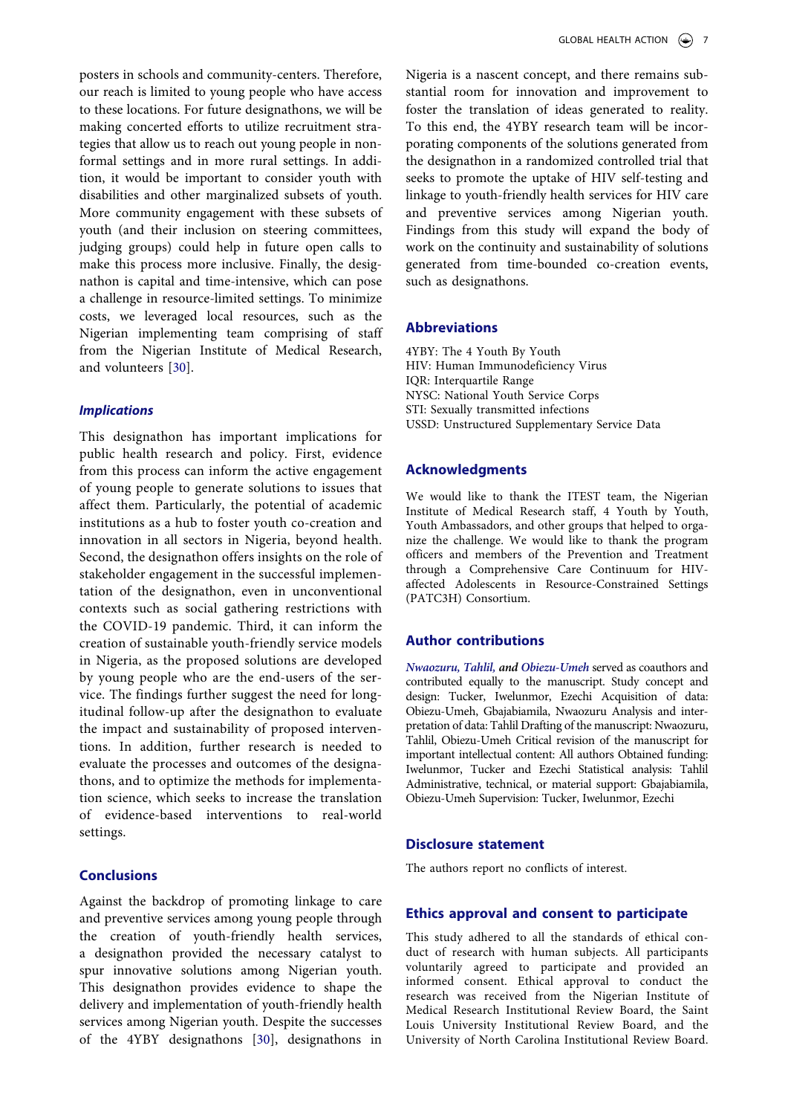posters in schools and community-centers. Therefore, our reach is limited to young people who have access to these locations. For future designathons, we will be making concerted efforts to utilize recruitment strategies that allow us to reach out young people in nonformal settings and in more rural settings. In addition, it would be important to consider youth with disabilities and other marginalized subsets of youth. More community engagement with these subsets of youth (and their inclusion on steering committees, judging groups) could help in future open calls to make this process more inclusive. Finally, the designathon is capital and time-intensive, which can pose a challenge in resource-limited settings. To minimize costs, we leveraged local resources, such as the Nigerian implementing team comprising of staff from the Nigerian Institute of Medical Research, and volunteers [[30\]](#page-8-3).

#### *Implications*

This designathon has important implications for public health research and policy. First, evidence from this process can inform the active engagement of young people to generate solutions to issues that affect them. Particularly, the potential of academic institutions as a hub to foster youth co-creation and innovation in all sectors in Nigeria, beyond health. Second, the designathon offers insights on the role of stakeholder engagement in the successful implementation of the designathon, even in unconventional contexts such as social gathering restrictions with the COVID-19 pandemic. Third, it can inform the creation of sustainable youth-friendly service models in Nigeria, as the proposed solutions are developed by young people who are the end-users of the service. The findings further suggest the need for longitudinal follow-up after the designathon to evaluate the impact and sustainability of proposed interventions. In addition, further research is needed to evaluate the processes and outcomes of the designathons, and to optimize the methods for implementation science, which seeks to increase the translation of evidence-based interventions to real-world settings.

## **Conclusions**

Against the backdrop of promoting linkage to care and preventive services among young people through the creation of youth-friendly health services, a designathon provided the necessary catalyst to spur innovative solutions among Nigerian youth. This designathon provides evidence to shape the delivery and implementation of youth-friendly health services among Nigerian youth. Despite the successes of the 4YBY designathons [\[30](#page-8-3)], designathons in

Nigeria is a nascent concept, and there remains substantial room for innovation and improvement to foster the translation of ideas generated to reality. To this end, the 4YBY research team will be incorporating components of the solutions generated from the designathon in a randomized controlled trial that seeks to promote the uptake of HIV self-testing and linkage to youth-friendly health services for HIV care and preventive services among Nigerian youth. Findings from this study will expand the body of work on the continuity and sustainability of solutions generated from time-bounded co-creation events, such as designathons.

## **Abbreviations**

4YBY: The 4 Youth By Youth HIV: Human Immunodeficiency Virus IQR: Interquartile Range NYSC: National Youth Service Corps STI: Sexually transmitted infections USSD: Unstructured Supplementary Service Data

## **Acknowledgments**

We would like to thank the ITEST team, the Nigerian Institute of Medical Research staff, 4 Youth by Youth, Youth Ambassadors, and other groups that helped to organize the challenge. We would like to thank the program officers and members of the Prevention and Treatment through a Comprehensive Care Continuum for HIVaffected Adolescents in Resource-Constrained Settings (PATC3H) Consortium.

## **Author contributions**

*Nwaozuru, Tahlil, and Obiezu-Umeh* served as coauthors and contributed equally to the manuscript. Study concept and design: Tucker, Iwelunmor, Ezechi Acquisition of data: Obiezu-Umeh, Gbajabiamila, Nwaozuru Analysis and interpretation of data: Tahlil Drafting of the manuscript: Nwaozuru, Tahlil, Obiezu-Umeh Critical revision of the manuscript for important intellectual content: All authors Obtained funding: Iwelunmor, Tucker and Ezechi Statistical analysis: Tahlil Administrative, technical, or material support: Gbajabiamila, Obiezu-Umeh Supervision: Tucker, Iwelunmor, Ezechi

## **Disclosure statement**

The authors report no conflicts of interest.

#### **Ethics approval and consent to participate**

This study adhered to all the standards of ethical conduct of research with human subjects. All participants voluntarily agreed to participate and provided an informed consent. Ethical approval to conduct the research was received from the Nigerian Institute of Medical Research Institutional Review Board, the Saint Louis University Institutional Review Board, and the University of North Carolina Institutional Review Board.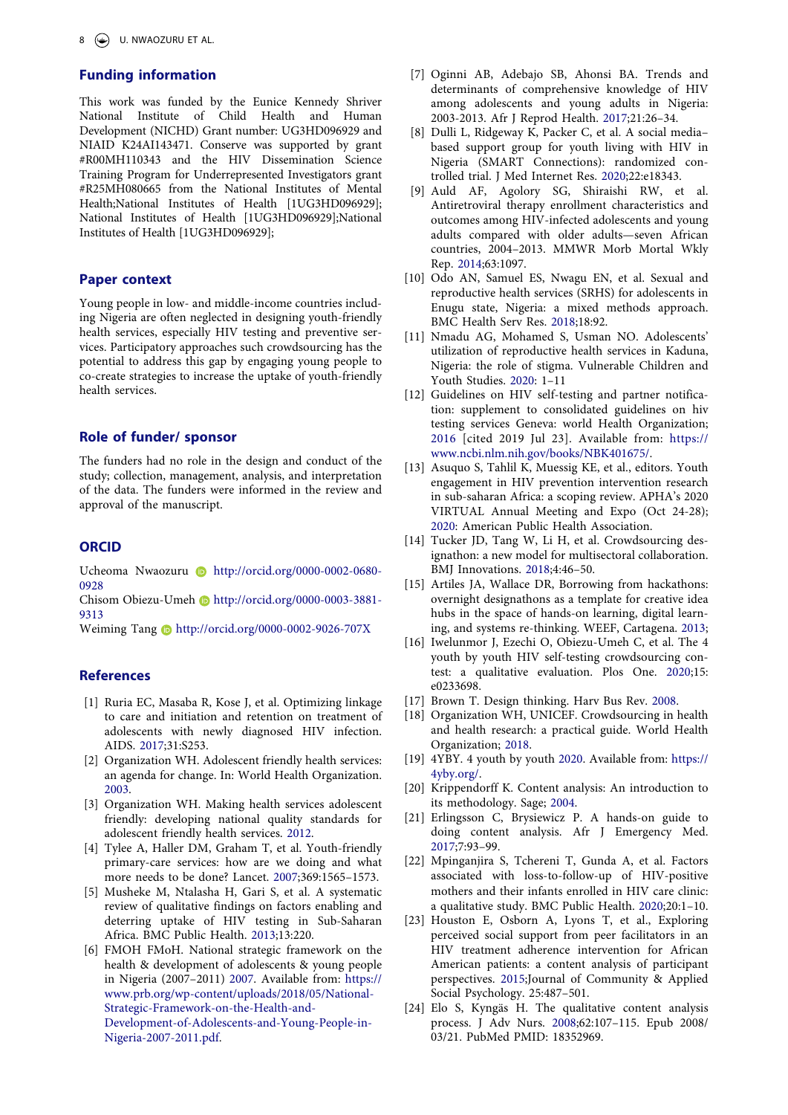## **Funding information**

This work was funded by the Eunice Kennedy Shriver National Institute of Child Health and Human Development (NICHD) Grant number: UG3HD096929 and NIAID K24AI143471. Conserve was supported by grant #R00MH110343 and the HIV Dissemination Science Training Program for Underrepresented Investigators grant #R25MH080665 from the National Institutes of Mental Health;National Institutes of Health [1UG3HD096929]; National Institutes of Health [1UG3HD096929];National Institutes of Health [1UG3HD096929];

#### **Paper context**

Young people in low- and middle-income countries including Nigeria are often neglected in designing youth-friendly health services, especially HIV testing and preventive services. Participatory approaches such crowdsourcing has the potential to address this gap by engaging young people to co-create strategies to increase the uptake of youth-friendly health services.

#### **Role of funder/ sponsor**

The funders had no role in the design and conduct of the study; collection, management, analysis, and interpretation of the data. The funders were informed in the review and approval of the manuscript.

## **ORCID**

Ucheoma Nwaozuru D http://orcid.org/0000-0002-0680-0928

Chisom Obiezu-Umeh http://orcid.org/0000-0003-3881- 9313

Weiming Tang D http://orcid.org/0000-0002-9026-707X

## **References**

- <span id="page-7-0"></span>[1] Ruria EC, Masaba R, Kose J, et al. Optimizing linkage to care and initiation and retention on treatment of adolescents with newly diagnosed HIV infection. AIDS. [2017;](#page-0-5)31:S253.
- <span id="page-7-1"></span>[2] Organization WH. Adolescent friendly health services: an agenda for change. In: World Health Organization. [2003](#page-0-6).
- <span id="page-7-2"></span>[3] Organization WH. Making health services adolescent friendly: developing national quality standards for adolescent friendly health services. [2012](#page-0-6).
- <span id="page-7-3"></span>[4] Tylee A, Haller DM, Graham T, et al. Youth-friendly primary-care services: how are we doing and what more needs to be done? Lancet. [2007;](#page-0-7)369:1565–1573.
- <span id="page-7-4"></span>[5] Musheke M, Ntalasha H, Gari S, et al. A systematic review of qualitative findings on factors enabling and deterring uptake of HIV testing in Sub-Saharan Africa. BMC Public Health. [2013](#page-0-7);13:220.
- <span id="page-7-5"></span>[6] FMOH FMoH. National strategic framework on the health & development of adolescents & young people in Nigeria (2007–2011) [2007.](#page-0-8) Available from: [https://](https://www.prb.org/wp-content/uploads/2018/05/National-Strategic-Framework-on-the-Health-and-Development-of-Adolescents-and-Young-People-in-Nigeria-2007-2011.pdf)  [www.prb.org/wp-content/uploads/2018/05/National-](https://www.prb.org/wp-content/uploads/2018/05/National-Strategic-Framework-on-the-Health-and-Development-of-Adolescents-and-Young-People-in-Nigeria-2007-2011.pdf)[Strategic-Framework-on-the-Health-and-](https://www.prb.org/wp-content/uploads/2018/05/National-Strategic-Framework-on-the-Health-and-Development-of-Adolescents-and-Young-People-in-Nigeria-2007-2011.pdf)[Development-of-Adolescents-and-Young-People-in-](https://www.prb.org/wp-content/uploads/2018/05/National-Strategic-Framework-on-the-Health-and-Development-of-Adolescents-and-Young-People-in-Nigeria-2007-2011.pdf)[Nigeria-2007-2011.pdf.](https://www.prb.org/wp-content/uploads/2018/05/National-Strategic-Framework-on-the-Health-and-Development-of-Adolescents-and-Young-People-in-Nigeria-2007-2011.pdf)
- <span id="page-7-6"></span>[7] Oginni AB, Adebajo SB, Ahonsi BA. Trends and determinants of comprehensive knowledge of HIV among adolescents and young adults in Nigeria: 2003-2013. Afr J Reprod Health. [2017;](#page-1-1)21:26–34.
- <span id="page-7-7"></span>[8] Dulli L, Ridgeway K, Packer C, et al. A social media– based support group for youth living with HIV in Nigeria (SMART Connections): randomized controlled trial. J Med Internet Res. [2020;](#page-1-2)22:e18343.
- <span id="page-7-8"></span>[9] Auld AF, Agolory SG, Shiraishi RW, et al. Antiretroviral therapy enrollment characteristics and outcomes among HIV-infected adolescents and young adults compared with older adults—seven African countries, 2004–2013. MMWR Morb Mortal Wkly Rep. [2014](#page-1-2);63:1097.
- <span id="page-7-9"></span>[10] Odo AN, Samuel ES, Nwagu EN, et al. Sexual and reproductive health services (SRHS) for adolescents in Enugu state, Nigeria: a mixed methods approach. BMC Health Serv Res. [2018;](#page-1-3)18:92.
- <span id="page-7-10"></span>[11] Nmadu AG, Mohamed S, Usman NO. Adolescents' utilization of reproductive health services in Kaduna, Nigeria: the role of stigma. Vulnerable Children and Youth Studies. [2020:](#page-1-3) 1–11
- <span id="page-7-11"></span>[12] Guidelines on HIV self-testing and partner notification: supplement to consolidated guidelines on hiv testing services Geneva: world Health Organization; [2016](#page-1-4) [cited 2019 Jul 23]. Available from: [https://](https://www.ncbi.nlm.nih.gov/books/NBK401675/) [www.ncbi.nlm.nih.gov/books/NBK401675/.](https://www.ncbi.nlm.nih.gov/books/NBK401675/)
- <span id="page-7-12"></span>[13] Asuquo S, Tahlil K, Muessig KE, et al., editors. Youth engagement in HIV prevention intervention research in sub-saharan Africa: a scoping review. APHA's 2020 VIRTUAL Annual Meeting and Expo (Oct 24-28); [2020:](#page-1-5) American Public Health Association.
- <span id="page-7-13"></span>[14] Tucker JD, Tang W, Li H, et al. Crowdsourcing designathon: a new model for multisectoral collaboration. BMJ Innovations. [2018;](#page-1-6)4:46–50.
- <span id="page-7-14"></span>[15] Artiles JA, Wallace DR, Borrowing from hackathons: overnight designathons as a template for creative idea hubs in the space of hands-on learning, digital learning, and systems re-thinking. WEEF, Cartagena. [2013](#page-1-6);
- <span id="page-7-15"></span>[16] Iwelunmor J, Ezechi O, Obiezu-Umeh C, et al. The 4 youth by youth HIV self-testing crowdsourcing contest: a qualitative evaluation. Plos One. [2020;](#page-1-7)15: e0233698.
- <span id="page-7-16"></span>[17] Brown T. Design thinking. Harv Bus Rev. [2008.](#page-1-8)
- <span id="page-7-17"></span>[18] Organization WH, UNICEF. Crowdsourcing in health and health research: a practical guide. World Health Organization; [2018.](#page-1-9)
- <span id="page-7-18"></span>[19] 4YBY. 4 youth by youth [2020](#page-2-0). Available from: [https://](https://4yby.org/) [4yby.org/.](https://4yby.org/)
- <span id="page-7-19"></span>[20] Krippendorff K. Content analysis: An introduction to its methodology. Sage; [2004](#page-2-1).
- <span id="page-7-20"></span>[21] Erlingsson C, Brysiewicz P. A hands-on guide to doing content analysis. Afr J Emergency Med. [2017;](#page-2-1)7:93–99.
- <span id="page-7-21"></span>[22] Mpinganjira S, Tchereni T, Gunda A, et al. Factors associated with loss-to-follow-up of HIV-positive mothers and their infants enrolled in HIV care clinic: a qualitative study. BMC Public Health. [2020](#page-2-2);20:1–10.
- <span id="page-7-22"></span>[23] Houston E, Osborn A, Lyons T, et al., Exploring perceived social support from peer facilitators in an HIV treatment adherence intervention for African American patients: a content analysis of participant perspectives. [2015;](#page-2-2)Journal of Community & Applied Social Psychology. 25:487–501.
- <span id="page-7-23"></span>[24] Elo S, Kyngäs H. The qualitative content analysis process. J Adv Nurs. [2008](#page-2-3);62:107–115. Epub 2008/ 03/21. PubMed PMID: 18352969.